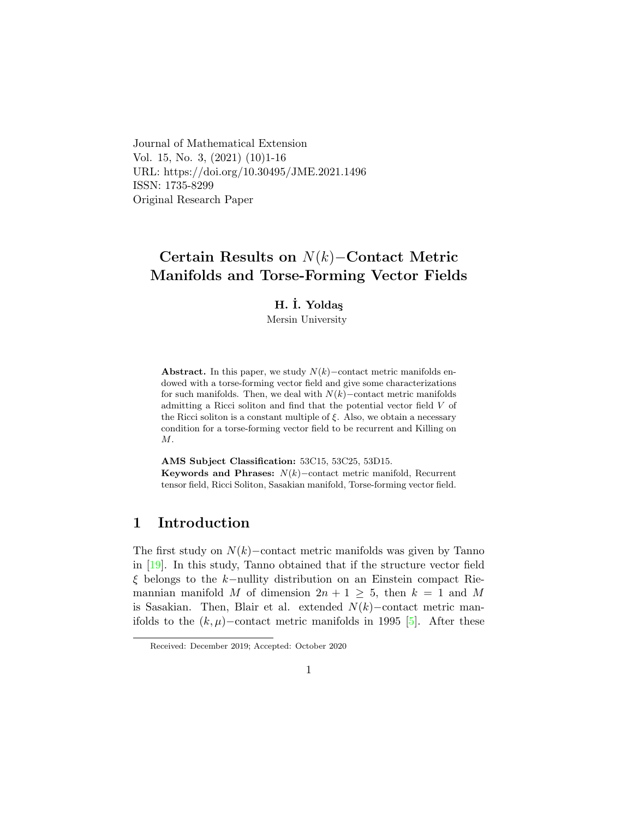Journal of Mathematical Extension Vol. 15, No. 3, (2021) (10)1-16 URL: https://doi.org/10.30495/JME.2021.1496 ISSN: 1735-8299 Original Research Paper

# Certain Results on N(k)−Contact Metric Manifolds and Torse-Forming Vector Fields

## H. İ. Yoldas

Mersin University

Abstract. In this paper, we study  $N(k)$ –contact metric manifolds endowed with a torse-forming vector field and give some characterizations for such manifolds. Then, we deal with  $N(k)$ –contact metric manifolds admitting a Ricci soliton and find that the potential vector field  $V$  of the Ricci soliton is a constant multiple of  $\xi$ . Also, we obtain a necessary condition for a torse-forming vector field to be recurrent and Killing on M.

AMS Subject Classification: 53C15, 53C25, 53D15. Keywords and Phrases:  $N(k)$ –contact metric manifold, Recurrent tensor field, Ricci Soliton, Sasakian manifold, Torse-forming vector field.

# 1 Introduction

The first study on  $N(k)$ –contact metric manifolds was given by Tanno in [\[19\]](#page-15-0). In this study, Tanno obtained that if the structure vector field ξ belongs to the k−nullity distribution on an Einstein compact Riemannian manifold M of dimension  $2n + 1 \geq 5$ , then  $k = 1$  and M is Sasakian. Then, Blair et al. extended  $N(k)$ –contact metric manifolds to the  $(k, \mu)$ –contact metric manifolds in 1995 [\[5\]](#page-14-0). After these

Received: December 2019; Accepted: October 2020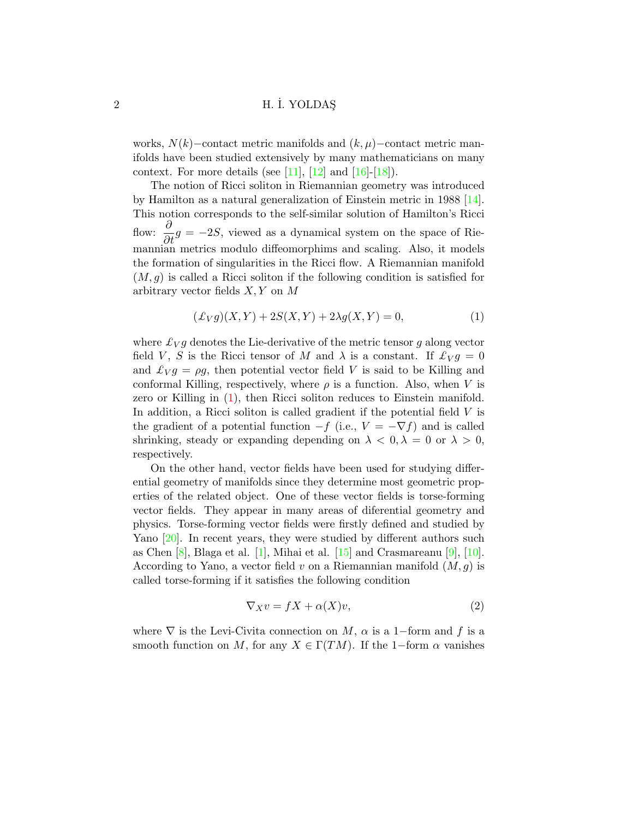works,  $N(k)$ –contact metric manifolds and  $(k, \mu)$ –contact metric manifolds have been studied extensively by many mathematicians on many context. For more details (see [\[11\]](#page-14-1), [\[12\]](#page-14-2) and  $[16]-[18]$  $[16]-[18]$ ).

The notion of Ricci soliton in Riemannian geometry was introduced by Hamilton as a natural generalization of Einstein metric in 1988 [\[14\]](#page-15-3). This notion corresponds to the self-similar solution of Hamilton's Ricci flow:  $\frac{\partial}{\partial t}g = -2S$ , viewed as a dynamical system on the space of Riemannian metrics modulo diffeomorphims and scaling. Also, it models the formation of singularities in the Ricci flow. A Riemannian manifold  $(M, g)$  is called a Ricci soliton if the following condition is satisfied for arbitrary vector fields  $X, Y$  on  $M$ 

<span id="page-1-0"></span>
$$
(\pounds_V g)(X, Y) + 2S(X, Y) + 2\lambda g(X, Y) = 0,\t(1)
$$

where  $\mathcal{L}_V g$  denotes the Lie-derivative of the metric tensor g along vector field V, S is the Ricci tensor of M and  $\lambda$  is a constant. If  $\mathcal{L}_V g = 0$ and  $\mathcal{L}_V g = \rho g$ , then potential vector field V is said to be Killing and conformal Killing, respectively, where  $\rho$  is a function. Also, when V is zero or Killing in  $(1)$ , then Ricci soliton reduces to Einstein manifold. In addition, a Ricci soliton is called gradient if the potential field  $V$  is the gradient of a potential function  $-f$  (i.e.,  $V = -\nabla f$ ) and is called shrinking, steady or expanding depending on  $\lambda < 0, \lambda = 0$  or  $\lambda > 0$ , respectively.

On the other hand, vector fields have been used for studying differential geometry of manifolds since they determine most geometric properties of the related object. One of these vector fields is torse-forming vector fields. They appear in many areas of diferential geometry and physics. Torse-forming vector fields were firstly defined and studied by Yano [\[20\]](#page-15-4). In recent years, they were studied by different authors such as Chen  $[8]$ , Blaga et al.  $[1]$ , Mihai et al.  $[15]$  and Crasmareanu  $[9]$ ,  $[10]$ . According to Yano, a vector field v on a Riemannian manifold  $(M, g)$  is called torse-forming if it satisfies the following condition

<span id="page-1-1"></span>
$$
\nabla_X v = fX + \alpha(X)v,\tag{2}
$$

where  $\nabla$  is the Levi-Civita connection on M,  $\alpha$  is a 1–form and f is a smooth function on M, for any  $X \in \Gamma(TM)$ . If the 1-form  $\alpha$  vanishes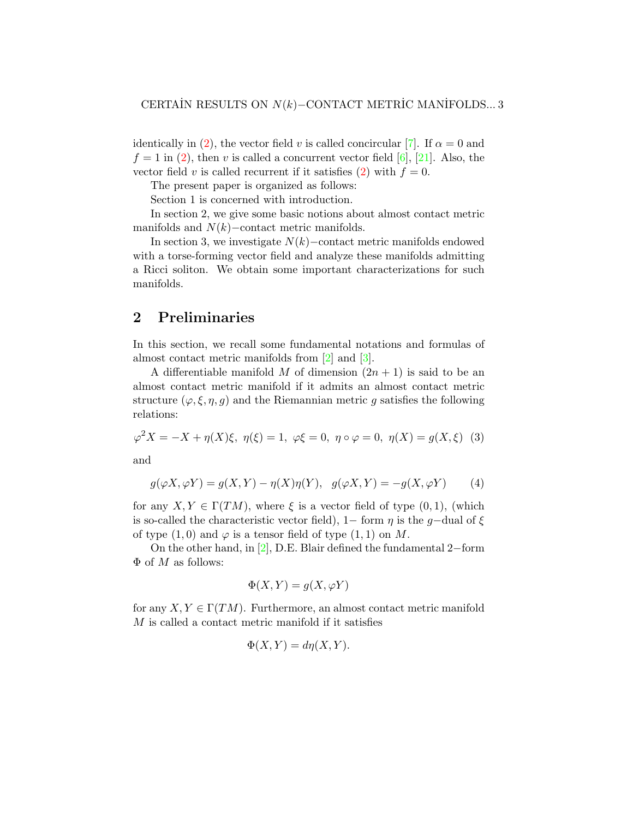identically in [\(2\)](#page-1-1), the vector field v is called concircular [\[7\]](#page-14-6). If  $\alpha = 0$  and  $f = 1$  in [\(2\)](#page-1-1), then v is called a concurrent vector field [\[6\]](#page-14-7), [\[21\]](#page-15-6). Also, the vector field v is called recurrent if it satisfies [\(2\)](#page-1-1) with  $f = 0$ .

The present paper is organized as follows:

Section 1 is concerned with introduction.

In section 2, we give some basic notions about almost contact metric manifolds and  $N(k)$ –contact metric manifolds.

In section 3, we investigate  $N(k)$ −contact metric manifolds endowed with a torse-forming vector field and analyze these manifolds admitting a Ricci soliton. We obtain some important characterizations for such manifolds.

# 2 Preliminaries

In this section, we recall some fundamental notations and formulas of almost contact metric manifolds from [\[2\]](#page-14-8) and [\[3\]](#page-14-9).

A differentiable manifold M of dimension  $(2n + 1)$  is said to be an almost contact metric manifold if it admits an almost contact metric structure  $(\varphi, \xi, \eta, g)$  and the Riemannian metric g satisfies the following relations:

<span id="page-2-0"></span>
$$
\varphi^2 X = -X + \eta(X)\xi, \ \eta(\xi) = 1, \ \varphi\xi = 0, \ \eta \circ \varphi = 0, \ \eta(X) = g(X, \xi) \tag{3}
$$

and

<span id="page-2-1"></span>
$$
g(\varphi X, \varphi Y) = g(X, Y) - \eta(X)\eta(Y), \quad g(\varphi X, Y) = -g(X, \varphi Y) \tag{4}
$$

for any  $X, Y \in \Gamma(TM)$ , where  $\xi$  is a vector field of type  $(0, 1)$ , (which is so-called the characteristic vector field), 1– form  $\eta$  is the g-dual of  $\xi$ of type  $(1,0)$  and  $\varphi$  is a tensor field of type  $(1,1)$  on M.

On the other hand, in [\[2\]](#page-14-8), D.E. Blair defined the fundamental 2−form  $\Phi$  of M as follows:

$$
\Phi(X, Y) = g(X, \varphi Y)
$$

for any  $X, Y \in \Gamma(TM)$ . Furthermore, an almost contact metric manifold M is called a contact metric manifold if it satisfies

$$
\Phi(X, Y) = d\eta(X, Y).
$$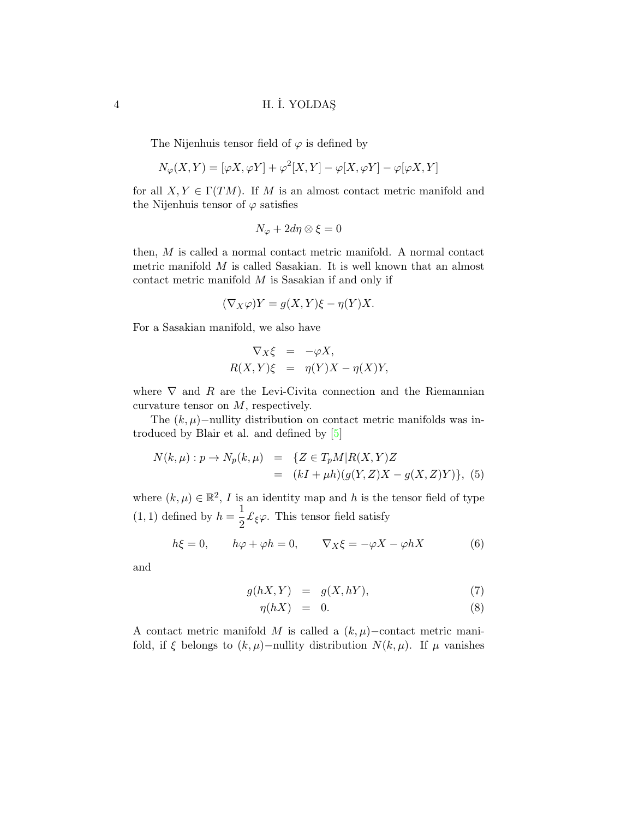The Nijenhuis tensor field of  $\varphi$  is defined by

$$
N_{\varphi}(X,Y) = [\varphi X, \varphi Y] + \varphi^{2}[X,Y] - \varphi[X,\varphi Y] - \varphi[\varphi X,Y]
$$

for all  $X, Y \in \Gamma(TM)$ . If M is an almost contact metric manifold and the Nijenhuis tensor of  $\varphi$  satisfies

$$
N_{\varphi} + 2d\eta \otimes \xi = 0
$$

then, M is called a normal contact metric manifold. A normal contact metric manifold M is called Sasakian. It is well known that an almost contact metric manifold M is Sasakian if and only if

$$
(\nabla_X \varphi) Y = g(X, Y)\xi - \eta(Y)X.
$$

For a Sasakian manifold, we also have

$$
\nabla_X \xi = -\varphi X,
$$
  
 
$$
R(X, Y)\xi = \eta(Y)X - \eta(X)Y,
$$

where  $\nabla$  and  $R$  are the Levi-Civita connection and the Riemannian curvature tensor on  $M$ , respectively.

The  $(k, \mu)$ −nullity distribution on contact metric manifolds was introduced by Blair et al. and defined by [\[5\]](#page-14-0)

<span id="page-3-0"></span>
$$
N(k,\mu): p \to N_p(k,\mu) = \{ Z \in T_p M | R(X,Y)Z = (kI + \mu h)(g(Y,Z)X - g(X,Z)Y) \}, (5)
$$

where  $(k,\mu) \in \mathbb{R}^2$ , I is an identity map and h is the tensor field of type  $(1,1)$  defined by  $h=\frac{1}{2}$  $\frac{1}{2}$   $\mathcal{L}_{\xi}\varphi$ . This tensor field satisfy

<span id="page-3-2"></span>
$$
h\xi = 0, \qquad h\varphi + \varphi h = 0, \qquad \nabla_X \xi = -\varphi X - \varphi h X \tag{6}
$$

and

<span id="page-3-1"></span>
$$
g(hX, Y) = g(X, hY), \tag{7}
$$

$$
\eta(hX) = 0. \tag{8}
$$

A contact metric manifold M is called a  $(k, \mu)$ –contact metric manifold, if  $\xi$  belongs to  $(k, \mu)$ –nullity distribution  $N(k, \mu)$ . If  $\mu$  vanishes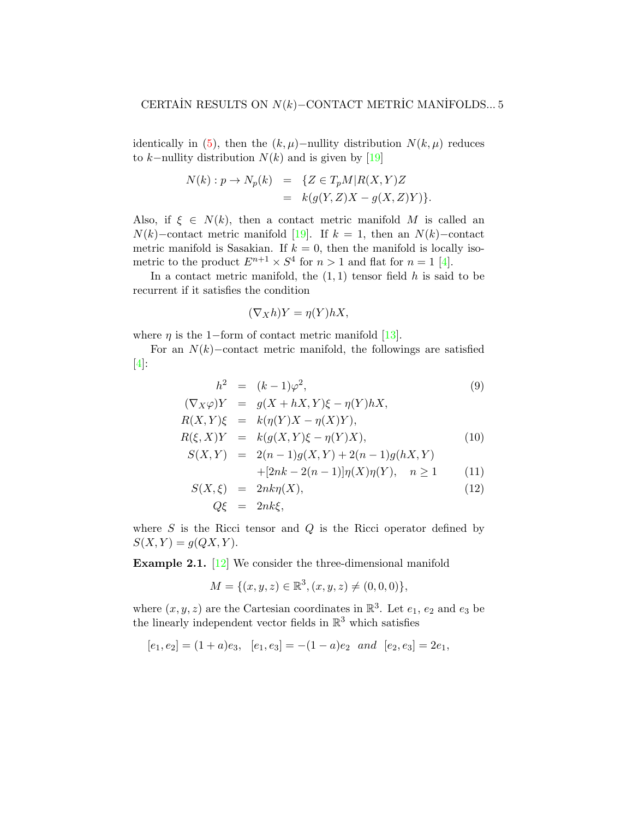identically in [\(5\)](#page-3-0), then the  $(k, \mu)$ −nullity distribution  $N(k, \mu)$  reduces to k–nullity distribution  $N(k)$  and is given by [\[19\]](#page-15-0)

$$
N(k) : p \to N_p(k) = \{ Z \in T_pM | R(X, Y)Z
$$
  
= 
$$
k(g(Y, Z)X - g(X, Z)Y) \}.
$$

Also, if  $\xi \in N(k)$ , then a contact metric manifold M is called an  $N(k)$ –contact metric manifold [\[19\]](#page-15-0). If  $k = 1$ , then an  $N(k)$ –contact metric manifold is Sasakian. If  $k = 0$ , then the manifold is locally isometric to the product  $E^{n+1} \times S^4$  for  $n > 1$  and flat for  $n = 1$  [\[4\]](#page-14-10).

In a contact metric manifold, the  $(1, 1)$  tensor field h is said to be recurrent if it satisfies the condition

$$
(\nabla_X h)Y = \eta(Y)hX,
$$

where  $\eta$  is the 1−form of contact metric manifold [\[13\]](#page-14-11).

For an  $N(k)$ –contact metric manifold, the followings are satisfied [\[4\]](#page-14-10):

<span id="page-4-0"></span>
$$
h^2 = (k-1)\varphi^2,\tag{9}
$$

$$
(\nabla_X \varphi)Y = g(X + hX, Y)\xi - \eta(Y)hX, R(X, Y)\xi = k(\eta(Y)X - \eta(X)Y), R(\xi, X)Y = k(g(X, Y)\xi - \eta(Y)X), S(X, Y) = 2(n - 1)g(X, Y) + 2(n - 1)g(hX, Y) + [2nk - 2(n - 1)]\eta(X)\eta(Y), \quad n \ge 1
$$
 (11)

$$
S(X,\xi) = 2nk\eta(X), \qquad (12)
$$

$$
Q\xi = 2nk\xi,
$$

where  $S$  is the Ricci tensor and  $Q$  is the Ricci operator defined by  $S(X, Y) = g(QX, Y).$ 

<span id="page-4-1"></span>Example 2.1. [\[12\]](#page-14-2) We consider the three-dimensional manifold

$$
M = \{ (x, y, z) \in \mathbb{R}^3, (x, y, z) \neq (0, 0, 0) \},
$$

where  $(x, y, z)$  are the Cartesian coordinates in  $\mathbb{R}^3$ . Let  $e_1, e_2$  and  $e_3$  be the linearly independent vector fields in  $\mathbb{R}^3$  which satisfies

$$
[e_1, e_2] = (1 + a)e_3
$$
,  $[e_1, e_3] = -(1 - a)e_2$  and  $[e_2, e_3] = 2e_1$ ,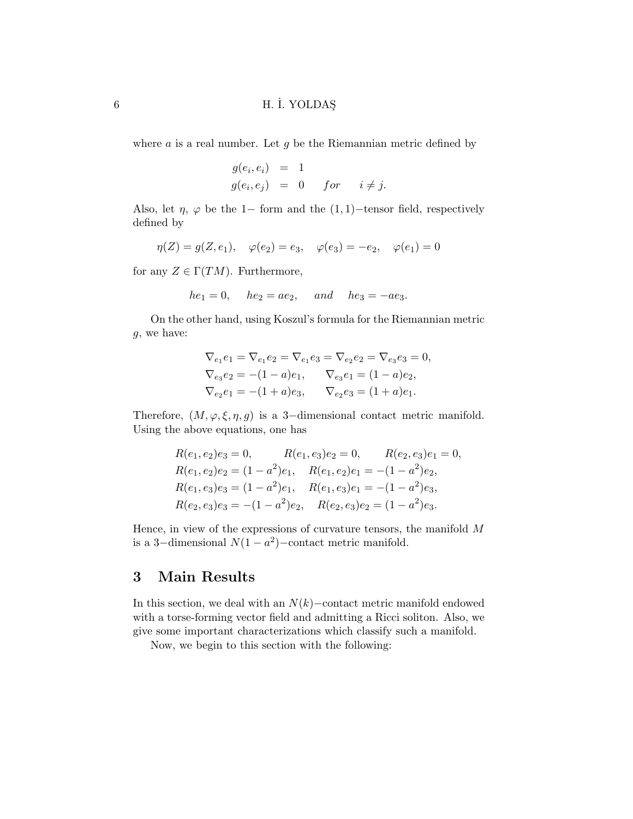where  $a$  is a real number. Let  $g$  be the Riemannian metric defined by

$$
g(e_i, e_i) = 1
$$
  
 
$$
g(e_i, e_j) = 0 \quad for \quad i \neq j.
$$

Also, let  $\eta$ ,  $\varphi$  be the 1− form and the (1,1)–tensor field, respectively defined by

$$
\eta(Z) = g(Z, e_1), \quad \varphi(e_2) = e_3, \quad \varphi(e_3) = -e_2, \quad \varphi(e_1) = 0
$$

for any  $Z \in \Gamma(TM)$ . Furthermore,

$$
he_1 = 0
$$
,  $he_2 = ae_2$ , and  $he_3 = -ae_3$ .

On the other hand, using Koszul's formula for the Riemannian metric g, we have:

$$
\nabla_{e_1} e_1 = \nabla_{e_1} e_2 = \nabla_{e_1} e_3 = \nabla_{e_2} e_2 = \nabla_{e_3} e_3 = 0,
$$
  
\n
$$
\nabla_{e_3} e_2 = -(1 - a)e_1, \qquad \nabla_{e_3} e_1 = (1 - a)e_2,
$$
  
\n
$$
\nabla_{e_2} e_1 = -(1 + a)e_3, \qquad \nabla_{e_2} e_3 = (1 + a)e_1.
$$

Therefore,  $(M, \varphi, \xi, \eta, g)$  is a 3-dimensional contact metric manifold. Using the above equations, one has

$$
R(e_1, e_2)e_3 = 0, \t R(e_1, e_3)e_2 = 0, \t R(e_2, e_3)e_1 = 0,
$$
  
\n
$$
R(e_1, e_2)e_2 = (1 - a^2)e_1, \t R(e_1, e_2)e_1 = -(1 - a^2)e_2,
$$
  
\n
$$
R(e_1, e_3)e_3 = (1 - a^2)e_1, \t R(e_1, e_3)e_1 = -(1 - a^2)e_3,
$$
  
\n
$$
R(e_2, e_3)e_3 = -(1 - a^2)e_2, \t R(e_2, e_3)e_2 = (1 - a^2)e_3.
$$

Hence, in view of the expressions of curvature tensors, the manifold  $M$ is a 3-dimensional  $N(1 - a^2)$ -contact metric manifold.

# 3 Main Results

In this section, we deal with an  $N(k)$ –contact metric manifold endowed with a torse-forming vector field and admitting a Ricci soliton. Also, we give some important characterizations which classify such a manifold.

Now, we begin to this section with the following: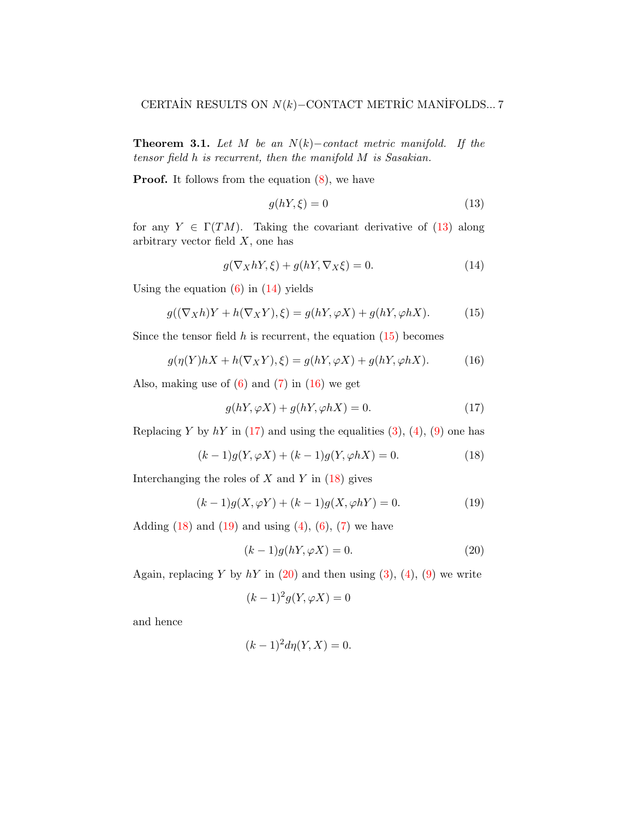**Theorem 3.1.** Let M be an  $N(k)$ –contact metric manifold. If the tensor field h is recurrent, then the manifold M is Sasakian.

**Proof.** It follows from the equation  $(8)$ , we have

<span id="page-6-0"></span>
$$
g(hY,\xi) = 0\tag{13}
$$

for any  $Y \in \Gamma(TM)$ . Taking the covariant derivative of [\(13\)](#page-6-0) along arbitrary vector field  $X$ , one has

<span id="page-6-1"></span>
$$
g(\nabla_X hY, \xi) + g(hY, \nabla_X \xi) = 0.
$$
\n(14)

Using the equation  $(6)$  in  $(14)$  yields

<span id="page-6-2"></span>
$$
g((\nabla_X h)Y + h(\nabla_X Y), \xi) = g(hY, \varphi X) + g(hY, \varphi hX). \tag{15}
$$

Since the tensor field  $h$  is recurrent, the equation  $(15)$  becomes

<span id="page-6-3"></span>
$$
g(\eta(Y)hX + h(\nabla_X Y), \xi) = g(hY, \varphi X) + g(hY, \varphi hX). \tag{16}
$$

Also, making use of  $(6)$  and  $(7)$  in  $(16)$  we get

<span id="page-6-4"></span>
$$
g(hY, \varphi X) + g(hY, \varphi hX) = 0.
$$
\n(17)

Replacing Y by  $hY$  in [\(17\)](#page-6-4) and using the equalities [\(3\)](#page-2-0), [\(4\)](#page-2-1), [\(9\)](#page-4-0) one has

<span id="page-6-5"></span>
$$
(k-1)g(Y, \varphi X) + (k-1)g(Y, \varphi hX) = 0.
$$
 (18)

Interchanging the roles of  $X$  and  $Y$  in  $(18)$  gives

<span id="page-6-6"></span>
$$
(k-1)g(X, \varphi Y) + (k-1)g(X, \varphi hY) = 0.
$$
 (19)

Adding  $(18)$  and  $(19)$  and using  $(4)$ ,  $(6)$ ,  $(7)$  we have

<span id="page-6-7"></span>
$$
(k-1)g(hY, \varphi X) = 0.
$$
\n(20)

Again, replacing Y by  $hY$  in [\(20\)](#page-6-7) and then using [\(3\)](#page-2-0), [\(4\)](#page-2-1), [\(9\)](#page-4-0) we write

$$
(k-1)^2 g(Y, \varphi X) = 0
$$

and hence

$$
(k-1)^2 d\eta(Y, X) = 0.
$$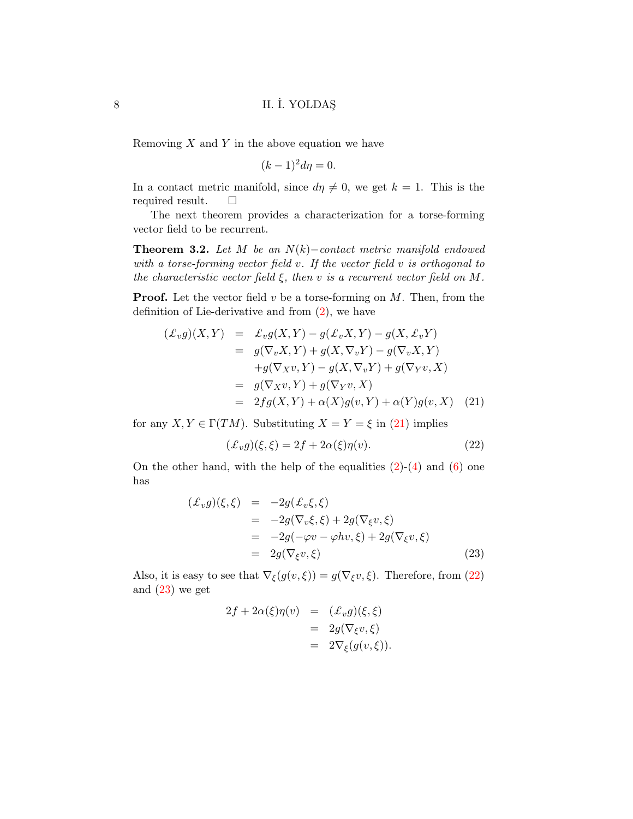Removing  $X$  and  $Y$  in the above equation we have

$$
(k-1)^2 d\eta = 0.
$$

In a contact metric manifold, since  $d\eta \neq 0$ , we get  $k = 1$ . This is the required result.  $\square$ 

The next theorem provides a characterization for a torse-forming vector field to be recurrent.

<span id="page-7-3"></span>**Theorem 3.2.** Let M be an  $N(k)$ –contact metric manifold endowed with a torse-forming vector field  $v$ . If the vector field  $v$  is orthogonal to the characteristic vector field  $\xi$ , then v is a recurrent vector field on M.

**Proof.** Let the vector field  $v$  be a torse-forming on  $M$ . Then, from the definition of Lie-derivative and from [\(2\)](#page-1-1), we have

<span id="page-7-0"></span>
$$
\begin{aligned}\n(\pounds_v g)(X,Y) &= \pounds_v g(X,Y) - g(\pounds_v X, Y) - g(X, \pounds_v Y) \\
&= g(\nabla_v X, Y) + g(X, \nabla_v Y) - g(\nabla_v X, Y) \\
&\quad + g(\nabla_X v, Y) - g(X, \nabla_v Y) + g(\nabla_Y v, X) \\
&= g(\nabla_X v, Y) + g(\nabla_Y v, X) \\
&= 2fg(X, Y) + \alpha(X)g(v, Y) + \alpha(Y)g(v, X)\n\end{aligned}
$$
\n(21)

for any  $X, Y \in \Gamma(TM)$ . Substituting  $X = Y = \xi$  in [\(21\)](#page-7-0) implies

<span id="page-7-1"></span>
$$
(\mathcal{L}_v g)(\xi, \xi) = 2f + 2\alpha(\xi)\eta(v). \tag{22}
$$

On the other hand, with the help of the equalities  $(2)-(4)$  $(2)-(4)$  and  $(6)$  one has

<span id="page-7-2"></span>
$$
\begin{array}{rcl}\n(\pounds_v g)(\xi, \xi) & = & -2g(\pounds_v \xi, \xi) \\
& = & -2g(\nabla_v \xi, \xi) + 2g(\nabla_\xi v, \xi) \\
& = & -2g(-\varphi v - \varphi hv, \xi) + 2g(\nabla_\xi v, \xi) \\
& = & 2g(\nabla_\xi v, \xi)\n\end{array} \tag{23}
$$

Also, it is easy to see that  $\nabla_{\xi}(g(v,\xi)) = g(\nabla_{\xi}v,\xi)$ . Therefore, from [\(22\)](#page-7-1) and  $(23)$  we get

$$
2f + 2\alpha(\xi)\eta(v) = (L_v g)(\xi, \xi)
$$
  
=  $2g(\nabla_{\xi}v, \xi)$   
=  $2\nabla_{\xi}(g(v, \xi)).$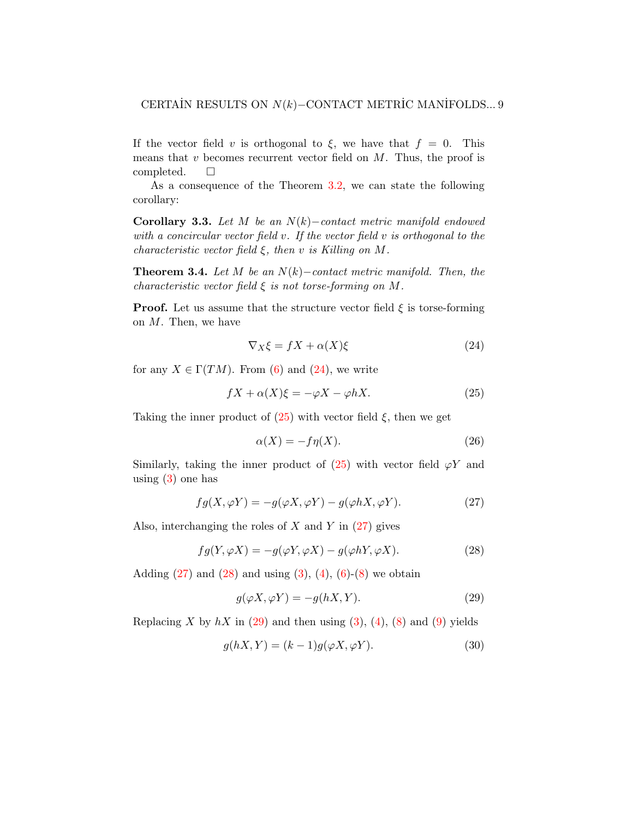If the vector field v is orthogonal to  $\xi$ , we have that  $f = 0$ . This means that  $v$  becomes recurrent vector field on  $M$ . Thus, the proof is completed.  $\square$ 

As a consequence of the Theorem [3.2,](#page-7-3) we can state the following corollary:

Corollary 3.3. Let M be an  $N(k)$ −contact metric manifold endowed with a concircular vector field  $v$ . If the vector field  $v$  is orthogonal to the characteristic vector field  $\xi$ , then v is Killing on M.

**Theorem 3.4.** Let M be an  $N(k)$ –contact metric manifold. Then, the characteristic vector field  $\xi$  is not torse-forming on M.

**Proof.** Let us assume that the structure vector field  $\xi$  is torse-forming on M. Then, we have

<span id="page-8-0"></span>
$$
\nabla_X \xi = fX + \alpha(X)\xi \tag{24}
$$

for any  $X \in \Gamma(TM)$ . From [\(6\)](#page-3-2) and [\(24\)](#page-8-0), we write

<span id="page-8-1"></span>
$$
fX + \alpha(X)\xi = -\varphi X - \varphi hX.
$$
 (25)

Taking the inner product of  $(25)$  with vector field  $\xi$ , then we get

<span id="page-8-6"></span>
$$
\alpha(X) = -f\eta(X). \tag{26}
$$

Similarly, taking the inner product of  $(25)$  with vector field  $\varphi Y$  and using  $(3)$  one has

<span id="page-8-2"></span>
$$
fg(X,\varphi Y) = -g(\varphi X, \varphi Y) - g(\varphi hX, \varphi Y). \tag{27}
$$

Also, interchanging the roles of  $X$  and  $Y$  in [\(27\)](#page-8-2) gives

<span id="page-8-3"></span>
$$
fg(Y, \varphi X) = -g(\varphi Y, \varphi X) - g(\varphi hY, \varphi X). \tag{28}
$$

Adding  $(27)$  and  $(28)$  and using  $(3)$ ,  $(4)$ ,  $(6)-(8)$  $(6)-(8)$  we obtain

<span id="page-8-4"></span>
$$
g(\varphi X, \varphi Y) = -g(hX, Y). \tag{29}
$$

Replacing X by  $hX$  in [\(29\)](#page-8-4) and then using [\(3\)](#page-2-0), [\(4\)](#page-2-1), [\(8\)](#page-3-1) and [\(9\)](#page-4-0) yields

<span id="page-8-5"></span>
$$
g(hX, Y) = (k-1)g(\varphi X, \varphi Y). \tag{30}
$$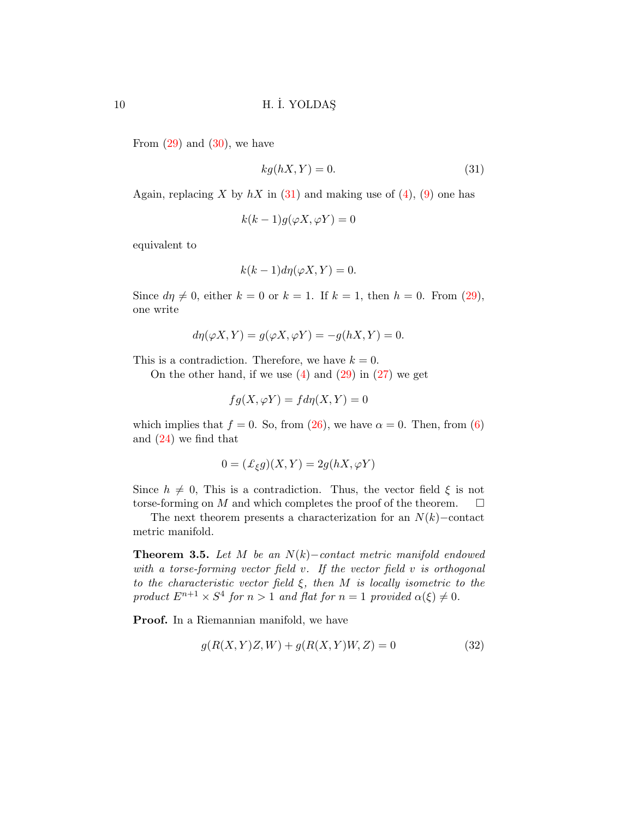From  $(29)$  and  $(30)$ , we have

<span id="page-9-0"></span>
$$
kg(hX, Y) = 0.\t\t(31)
$$

Again, replacing X by  $hX$  in [\(31\)](#page-9-0) and making use of [\(4\)](#page-2-1), [\(9\)](#page-4-0) one has

$$
k(k-1)g(\varphi X,\varphi Y)=0
$$

equivalent to

$$
k(k-1)d\eta(\varphi X,Y)=0.
$$

Since  $d\eta \neq 0$ , either  $k = 0$  or  $k = 1$ . If  $k = 1$ , then  $h = 0$ . From [\(29\)](#page-8-4), one write

$$
d\eta(\varphi X, Y) = g(\varphi X, \varphi Y) = -g(hX, Y) = 0.
$$

This is a contradiction. Therefore, we have  $k = 0$ .

On the other hand, if we use  $(4)$  and  $(29)$  in  $(27)$  we get

$$
fg(X, \varphi Y) = fd\eta(X, Y) = 0
$$

which implies that  $f = 0$ . So, from [\(26\)](#page-8-6), we have  $\alpha = 0$ . Then, from [\(6\)](#page-3-2) and [\(24\)](#page-8-0) we find that

$$
0 = (\mathcal{L}_{\xi}g)(X, Y) = 2g(hX, \varphi Y)
$$

Since  $h \neq 0$ , This is a contradiction. Thus, the vector field  $\xi$  is not torse-forming on M and which completes the proof of the theorem.  $\Box$ 

The next theorem presents a characterization for an  $N(k)$ –contact metric manifold.

**Theorem 3.5.** Let M be an  $N(k)$ –contact metric manifold endowed with a torse-forming vector field  $v$ . If the vector field  $v$  is orthogonal to the characteristic vector field  $\xi$ , then M is locally isometric to the product  $E^{n+1} \times S^4$  for  $n > 1$  and flat for  $n = 1$  provided  $\alpha(\xi) \neq 0$ .

Proof. In a Riemannian manifold, we have

<span id="page-9-1"></span>
$$
g(R(X, Y)Z, W) + g(R(X, Y)W, Z) = 0
$$
\n(32)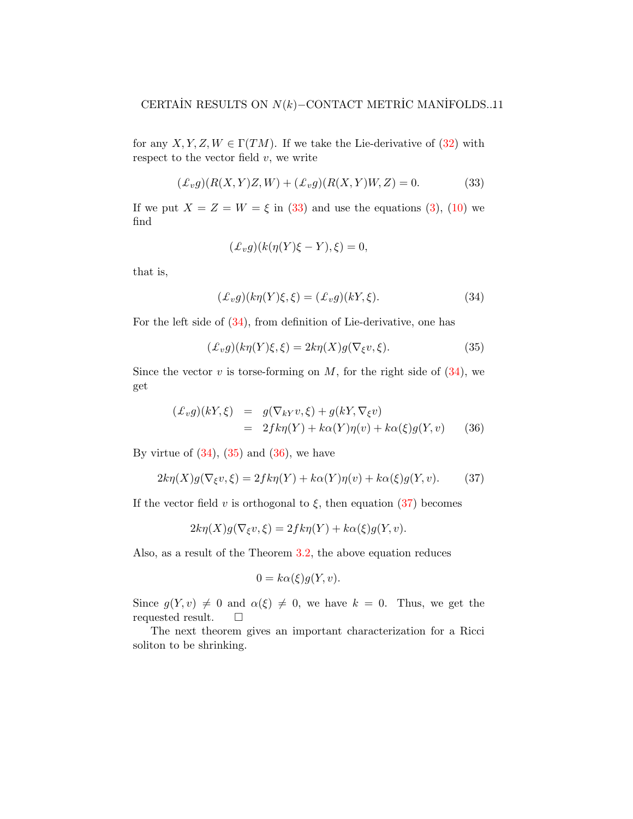for any X, Y, Z,  $W \in \Gamma(TM)$ . If we take the Lie-derivative of [\(32\)](#page-9-1) with respect to the vector field  $v$ , we write

<span id="page-10-0"></span>
$$
(\pounds_v g)(R(X,Y)Z,W) + (\pounds_v g)(R(X,Y)W,Z) = 0.
$$
 (33)

If we put  $X = Z = W = \xi$  in [\(33\)](#page-10-0) and use the equations [\(3\)](#page-2-0), [\(10\)](#page-4-0) we find

$$
(\pounds_v g)(k(\eta(Y)\xi - Y), \xi) = 0,
$$

that is,

<span id="page-10-1"></span>
$$
(\mathcal{L}_v g)(k\eta(Y)\xi,\xi) = (\mathcal{L}_v g)(kY,\xi). \tag{34}
$$

For the left side of [\(34\)](#page-10-1), from definition of Lie-derivative, one has

<span id="page-10-2"></span>
$$
(\pounds_v g)(k\eta(Y)\xi,\xi) = 2k\eta(X)g(\nabla_{\xi}v,\xi). \tag{35}
$$

Since the vector v is torse-forming on M, for the right side of  $(34)$ , we get

<span id="page-10-3"></span>
$$
\begin{array}{rcl}\n(\pounds_v g)(kY,\xi) & = & g(\nabla_{kY}v,\xi) + g(kY,\nabla_{\xi}v) \\
& = & 2f k \eta(Y) + k \alpha(Y)\eta(v) + k \alpha(\xi)g(Y,v)\n\end{array} \tag{36}
$$

By virtue of  $(34)$ ,  $(35)$  and  $(36)$ , we have

<span id="page-10-4"></span>
$$
2k\eta(X)g(\nabla_{\xi}v,\xi) = 2fk\eta(Y) + k\alpha(Y)\eta(v) + k\alpha(\xi)g(Y,v). \tag{37}
$$

If the vector field v is orthogonal to  $\xi$ , then equation [\(37\)](#page-10-4) becomes

$$
2k\eta(X)g(\nabla_{\xi}v,\xi) = 2fk\eta(Y) + k\alpha(\xi)g(Y,v).
$$

Also, as a result of the Theorem [3.2,](#page-7-3) the above equation reduces

$$
0 = k\alpha(\xi)g(Y, v).
$$

Since  $g(Y, v) \neq 0$  and  $\alpha(\xi) \neq 0$ , we have  $k = 0$ . Thus, we get the requested result.  $\square$ 

The next theorem gives an important characterization for a Ricci soliton to be shrinking.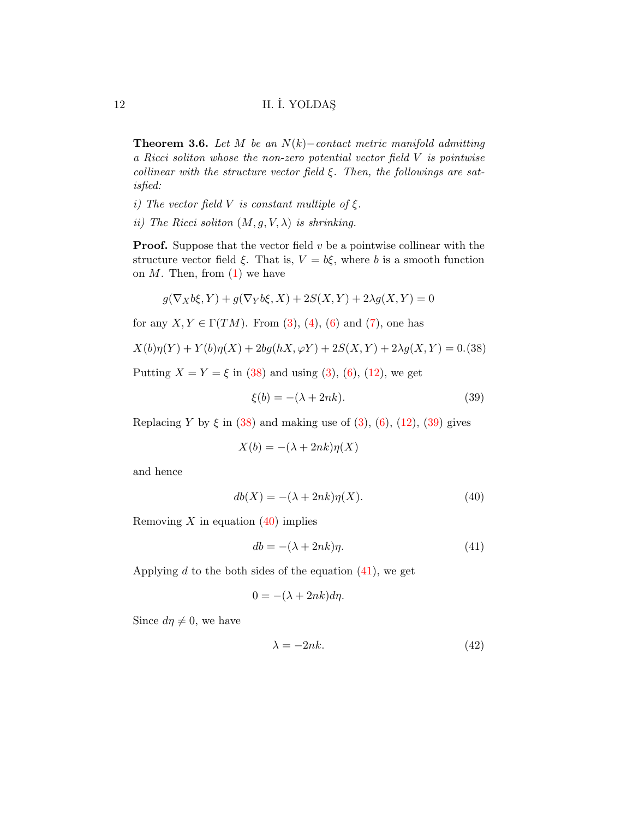**Theorem 3.6.** Let M be an  $N(k)$ –contact metric manifold admitting a Ricci soliton whose the non-zero potential vector field V is pointwise collinear with the structure vector field  $\xi$ . Then, the followings are satisfied:

- i) The vector field V is constant multiple of  $\xi$ .
- ii) The Ricci soliton  $(M, g, V, \lambda)$  is shrinking.

**Proof.** Suppose that the vector field  $v$  be a pointwise collinear with the structure vector field  $\xi$ . That is,  $V = b\xi$ , where b is a smooth function on  $M$ . Then, from  $(1)$  we have

$$
g(\nabla_X b\xi,Y)+g(\nabla_Y b\xi,X)+2S(X,Y)+2\lambda g(X,Y)=0
$$

for any  $X, Y \in \Gamma(TM)$ . From [\(3\)](#page-2-0), [\(4\)](#page-2-1), [\(6\)](#page-3-2) and [\(7\)](#page-3-1), one has

<span id="page-11-0"></span>
$$
X(b)\eta(Y) + Y(b)\eta(X) + 2bg(hX, \varphi Y) + 2S(X, Y) + 2\lambda g(X, Y) = 0. (38)
$$

Putting  $X = Y = \xi$  in [\(38\)](#page-11-0) and using [\(3\)](#page-2-0), [\(6\)](#page-3-2), [\(12\)](#page-4-0), we get

<span id="page-11-1"></span>
$$
\xi(b) = -(\lambda + 2nk). \tag{39}
$$

Replacing Y by  $\xi$  in [\(38\)](#page-11-0) and making use of [\(3\)](#page-2-0), [\(6\)](#page-3-2), [\(12\)](#page-4-0), [\(39\)](#page-11-1) gives

$$
X(b) = -(\lambda + 2nk)\eta(X)
$$

and hence

<span id="page-11-2"></span>
$$
db(X) = -(\lambda + 2nk)\eta(X). \tag{40}
$$

Removing X in equation  $(40)$  implies

<span id="page-11-3"></span>
$$
db = -(\lambda + 2nk)\eta. \tag{41}
$$

Applying  $d$  to the both sides of the equation  $(41)$ , we get

$$
0 = -(\lambda + 2nk)d\eta.
$$

Since  $d\eta \neq 0$ , we have

<span id="page-11-4"></span>
$$
\lambda = -2nk.\tag{42}
$$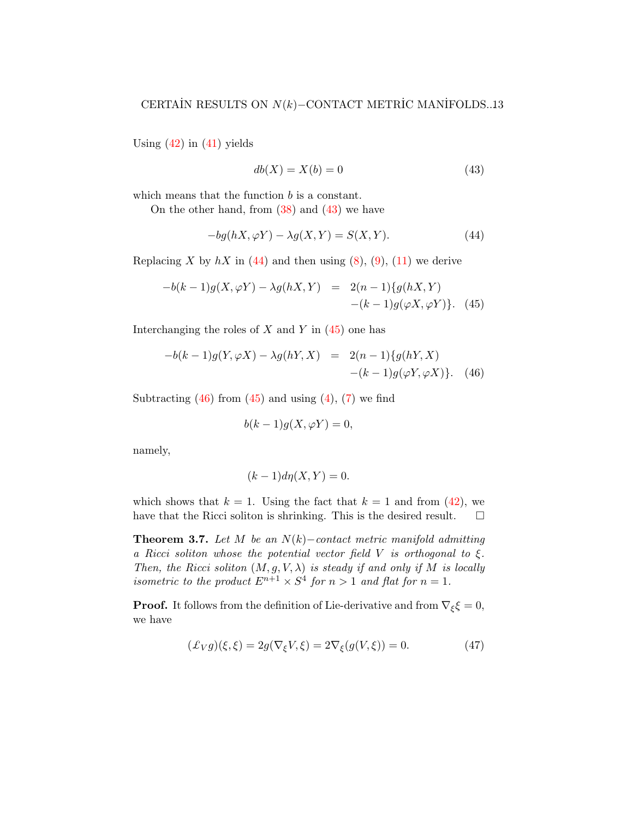Using  $(42)$  in  $(41)$  yields

<span id="page-12-0"></span>
$$
db(X) = X(b) = 0\tag{43}
$$

which means that the function b is a constant.

On the other hand, from  $(38)$  and  $(43)$  we have

<span id="page-12-1"></span>
$$
-bg(hX,\varphi Y) - \lambda g(X,Y) = S(X,Y). \tag{44}
$$

Replacing X by  $hX$  in [\(44\)](#page-12-1) and then using [\(8\)](#page-3-1), [\(9\)](#page-4-0), [\(11\)](#page-4-0) we derive

<span id="page-12-2"></span>
$$
-b(k-1)g(X,\varphi Y) - \lambda g(hX,Y) = 2(n-1)\{g(hX,Y) - (k-1)g(\varphi X, \varphi Y)\}.
$$
 (45)

Interchanging the roles of  $X$  and  $Y$  in  $(45)$  one has

<span id="page-12-3"></span>
$$
-b(k-1)g(Y, \varphi X) - \lambda g(hY, X) = 2(n-1)\{g(hY, X) - (k-1)g(\varphi Y, \varphi X)\}.
$$
 (46)

Subtracting  $(46)$  from  $(45)$  and using  $(4)$ ,  $(7)$  we find

$$
b(k-1)g(X,\varphi Y)=0,
$$

namely,

$$
(k-1)d\eta(X,Y)=0.
$$

which shows that  $k = 1$ . Using the fact that  $k = 1$  and from [\(42\)](#page-11-4), we have that the Ricci soliton is shrinking. This is the desired result.  $\Box$ 

<span id="page-12-5"></span>**Theorem 3.7.** Let M be an  $N(k)$ –contact metric manifold admitting a Ricci soliton whose the potential vector field V is orthogonal to  $\xi$ . Then, the Ricci soliton  $(M, g, V, \lambda)$  is steady if and only if M is locally isometric to the product  $E^{n+1} \times S^4$  for  $n > 1$  and flat for  $n = 1$ .

**Proof.** It follows from the definition of Lie-derivative and from  $\nabla_{\xi} \xi = 0$ , we have

<span id="page-12-4"></span>
$$
(\mathcal{L}_V g)(\xi, \xi) = 2g(\nabla_{\xi} V, \xi) = 2\nabla_{\xi}(g(V, \xi)) = 0.
$$
\n(47)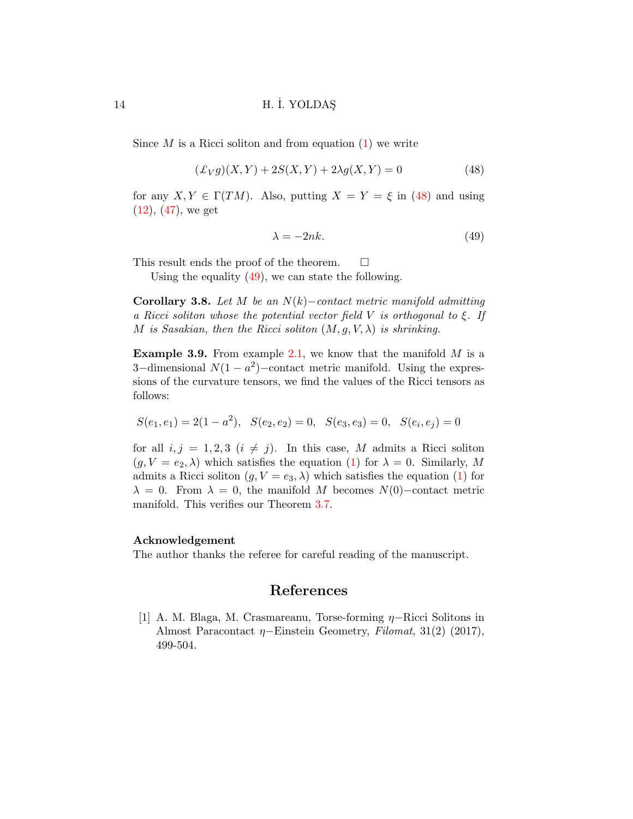Since  $M$  is a Ricci soliton and from equation  $(1)$  we write

<span id="page-13-1"></span>
$$
(\pounds_V g)(X, Y) + 2S(X, Y) + 2\lambda g(X, Y) = 0
$$
\n(48)

for any  $X, Y \in \Gamma(TM)$ . Also, putting  $X = Y = \xi$  in [\(48\)](#page-13-1) and using  $(12), (47),$  $(12), (47),$  $(12), (47),$  $(12), (47),$  we get

<span id="page-13-2"></span>
$$
\lambda = -2nk.\tag{49}
$$

This result ends the proof of the theorem.  $\Box$ 

Using the equality [\(49\)](#page-13-2), we can state the following.

Corollary 3.8. Let M be an  $N(k)$ –contact metric manifold admitting a Ricci soliton whose the potential vector field V is orthogonal to  $\xi$ . If M is Sasakian, then the Ricci soliton  $(M, q, V, \lambda)$  is shrinking.

**Example 3.9.** From example [2.1,](#page-4-1) we know that the manifold  $M$  is a 3-dimensional  $N(1 - a^2)$ -contact metric manifold. Using the expressions of the curvature tensors, we find the values of the Ricci tensors as follows:

$$
S(e_1, e_1) = 2(1 - a^2), \quad S(e_2, e_2) = 0, \quad S(e_3, e_3) = 0, \quad S(e_i, e_j) = 0
$$

for all  $i, j = 1, 2, 3$   $(i \neq j)$ . In this case, M admits a Ricci soliton  $(g, V = e_2, \lambda)$  which satisfies the equation [\(1\)](#page-1-0) for  $\lambda = 0$ . Similarly, M admits a Ricci soliton  $(g, V = e_3, \lambda)$  which satisfies the equation [\(1\)](#page-1-0) for  $\lambda = 0$ . From  $\lambda = 0$ , the manifold M becomes N(0)–contact metric manifold. This verifies our Theorem [3.7.](#page-12-5)

#### Acknowledgement

The author thanks the referee for careful reading of the manuscript.

# References

<span id="page-13-0"></span>[1] A. M. Blaga, M. Crasmareanu, Torse-forming η−Ricci Solitons in Almost Paracontact  $\eta$ –Einstein Geometry, Filomat, 31(2) (2017), 499-504.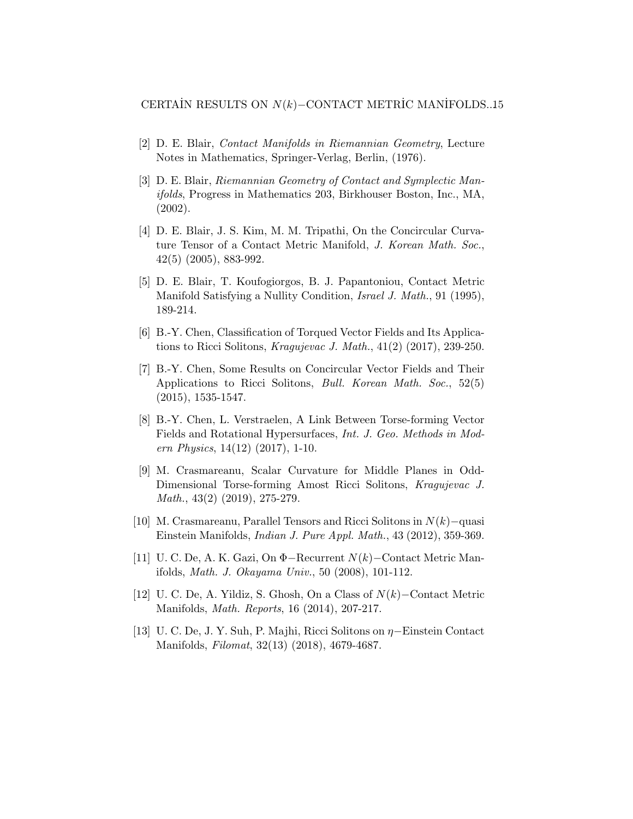- <span id="page-14-8"></span>[2] D. E. Blair, Contact Manifolds in Riemannian Geometry, Lecture Notes in Mathematics, Springer-Verlag, Berlin, (1976).
- <span id="page-14-9"></span>[3] D. E. Blair, Riemannian Geometry of Contact and Symplectic Manifolds, Progress in Mathematics 203, Birkhouser Boston, Inc., MA, (2002).
- <span id="page-14-10"></span>[4] D. E. Blair, J. S. Kim, M. M. Tripathi, On the Concircular Curvature Tensor of a Contact Metric Manifold, J. Korean Math. Soc., 42(5) (2005), 883-992.
- <span id="page-14-0"></span>[5] D. E. Blair, T. Koufogiorgos, B. J. Papantoniou, Contact Metric Manifold Satisfying a Nullity Condition, Israel J. Math., 91 (1995), 189-214.
- <span id="page-14-7"></span>[6] B.-Y. Chen, Classification of Torqued Vector Fields and Its Applications to Ricci Solitons, Kragujevac J. Math., 41(2) (2017), 239-250.
- <span id="page-14-6"></span>[7] B.-Y. Chen, Some Results on Concircular Vector Fields and Their Applications to Ricci Solitons, Bull. Korean Math. Soc., 52(5) (2015), 1535-1547.
- <span id="page-14-3"></span>[8] B.-Y. Chen, L. Verstraelen, A Link Between Torse-forming Vector Fields and Rotational Hypersurfaces, Int. J. Geo. Methods in Modern Physics, 14(12) (2017), 1-10.
- <span id="page-14-4"></span>[9] M. Crasmareanu, Scalar Curvature for Middle Planes in Odd-Dimensional Torse-forming Amost Ricci Solitons, Kragujevac J. Math., 43(2) (2019), 275-279.
- <span id="page-14-5"></span>[10] M. Crasmareanu, Parallel Tensors and Ricci Solitons in N(k)−quasi Einstein Manifolds, Indian J. Pure Appl. Math., 43 (2012), 359-369.
- <span id="page-14-1"></span>[11] U. C. De, A. K. Gazi, On Φ−Recurrent N(k)−Contact Metric Manifolds, Math. J. Okayama Univ., 50 (2008), 101-112.
- <span id="page-14-2"></span>[12] U. C. De, A. Yildiz, S. Ghosh, On a Class of N(k)−Contact Metric Manifolds, Math. Reports, 16 (2014), 207-217.
- <span id="page-14-11"></span>[13] U. C. De, J. Y. Suh, P. Majhi, Ricci Solitons on η−Einstein Contact Manifolds, Filomat, 32(13) (2018), 4679-4687.